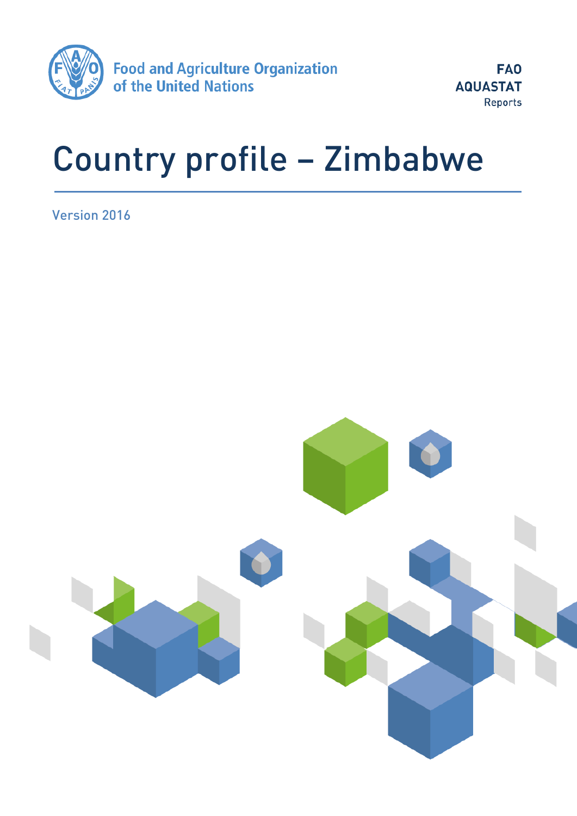

**FAO AQUASTAT Reports** 

# Country profile – Zimbabwe

**Version 2016** Version 2016

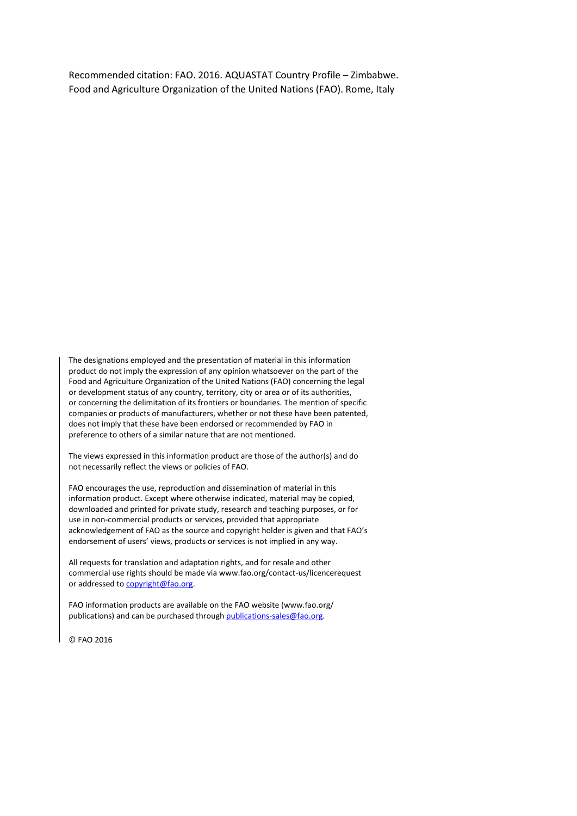Recommended citation: FAO. 2016. AQUASTAT Country Profile – Zimbabwe. Food and Agriculture Organization of the United Nations (FAO). Rome, Italy

The designations employed and the presentation of material in this information product do not imply the expression of any opinion whatsoever on the part of the Food and Agriculture Organization of the United Nations (FAO) concerning the legal or development status of any country, territory, city or area or of its authorities, or concerning the delimitation of its frontiers or boundaries. The mention of specific companies or products of manufacturers, whether or not these have been patented, does not imply that these have been endorsed or recommended by FAO in preference to others of a similar nature that are not mentioned.

The views expressed in this information product are those of the author(s) and do not necessarily reflect the views or policies of FAO.

FAO encourages the use, reproduction and dissemination of material in this information product. Except where otherwise indicated, material may be copied, downloaded and printed for private study, research and teaching purposes, or for use in non-commercial products or services, provided that appropriate acknowledgement of FAO as the source and copyright holder is given and that FAO's endorsement of users' views, products or services is not implied in any way.

All requests for translation and adaptation rights, and for resale and other commercial use rights should be made via www.fao.org/contact-us/licencerequest or addressed t[o copyright@fao.org.](mailto:copyright@fao.org)

FAO information products are available on the FAO website (www.fao.org/ publications) and can be purchased throug[h publications-sales@fao.org.](mailto:publications-sales@fao.org)

© FAO 2016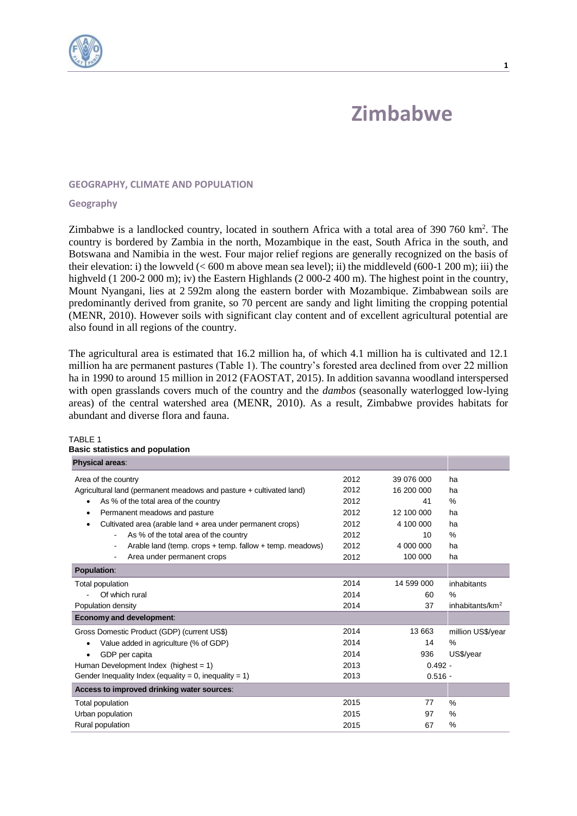

# **Zimbabwe**

#### **GEOGRAPHY, CLIMATE AND POPULATION**

#### **Geography**

Zimbabwe is a landlocked country, located in southern Africa with a total area of 390 760 km<sup>2</sup>. The country is bordered by Zambia in the north, Mozambique in the east, South Africa in the south, and Botswana and Namibia in the west. Four major relief regions are generally recognized on the basis of their elevation: i) the lowveld  $( $600 \text{ m}$  above mean sea level); ii) the middle$  (600-1 200 m); iii) the highveld (1 200-2 000 m); iv) the Eastern Highlands (2 000-2 400 m). The highest point in the country, Mount Nyangani, lies at 2 592m along the eastern border with Mozambique. Zimbabwean soils are predominantly derived from granite, so 70 percent are sandy and light limiting the cropping potential (MENR, 2010). However soils with significant clay content and of excellent agricultural potential are also found in all regions of the country.

The agricultural area is estimated that 16.2 million ha, of which 4.1 million ha is cultivated and 12.1 million ha are permanent pastures (Table 1). The country's forested area declined from over 22 million ha in 1990 to around 15 million in 2012 (FAOSTAT, 2015). In addition savanna woodland interspersed with open grasslands covers much of the country and the *dambos* (seasonally waterlogged low-lying areas) of the central watershed area (MENR, 2010). As a result, Zimbabwe provides habitats for abundant and diverse flora and fauna.

| <b>Basic statistics and population</b>                                     |      |            |                             |
|----------------------------------------------------------------------------|------|------------|-----------------------------|
| <b>Physical areas:</b>                                                     |      |            |                             |
| Area of the country                                                        | 2012 | 39 076 000 | ha                          |
| Agricultural land (permanent meadows and pasture + cultivated land)        | 2012 | 16 200 000 | ha                          |
| As % of the total area of the country<br>$\bullet$                         | 2012 | 41         | $\frac{0}{0}$               |
| Permanent meadows and pasture<br>$\bullet$                                 | 2012 | 12 100 000 | ha                          |
| Cultivated area (arable land + area under permanent crops)<br>$\bullet$    | 2012 | 4 100 000  | ha                          |
| As % of the total area of the country<br>$\overline{\phantom{0}}$          | 2012 | 10         | $\frac{0}{0}$               |
| Arable land (temp. crops + temp. fallow + temp. meadows)<br>$\blacksquare$ | 2012 | 4 000 000  | ha                          |
| Area under permanent crops                                                 | 2012 | 100 000    | ha                          |
| Population:                                                                |      |            |                             |
| Total population                                                           | 2014 | 14 599 000 | inhabitants                 |
| Of which rural                                                             | 2014 | 60         | $\%$                        |
| Population density                                                         | 2014 | 37         | inhabitants/km <sup>2</sup> |
| Economy and development:                                                   |      |            |                             |
| Gross Domestic Product (GDP) (current US\$)                                | 2014 | 13 663     | million US\$/year           |
| Value added in agriculture (% of GDP)<br>$\bullet$                         | 2014 | 14         | %                           |
| GDP per capita<br>$\bullet$                                                | 2014 | 936        | US\$/year                   |
| Human Development Index (highest = 1)                                      | 2013 | $0.492 -$  |                             |
| Gender Inequality Index (equality = 0, inequality = 1)                     | 2013 | $0.516 -$  |                             |
| Access to improved drinking water sources:                                 |      |            |                             |
| Total population                                                           | 2015 | 77         | %                           |
| Urban population                                                           | 2015 | 97         | $\%$                        |
| Rural population                                                           | 2015 | 67         | %                           |

# TABLE 1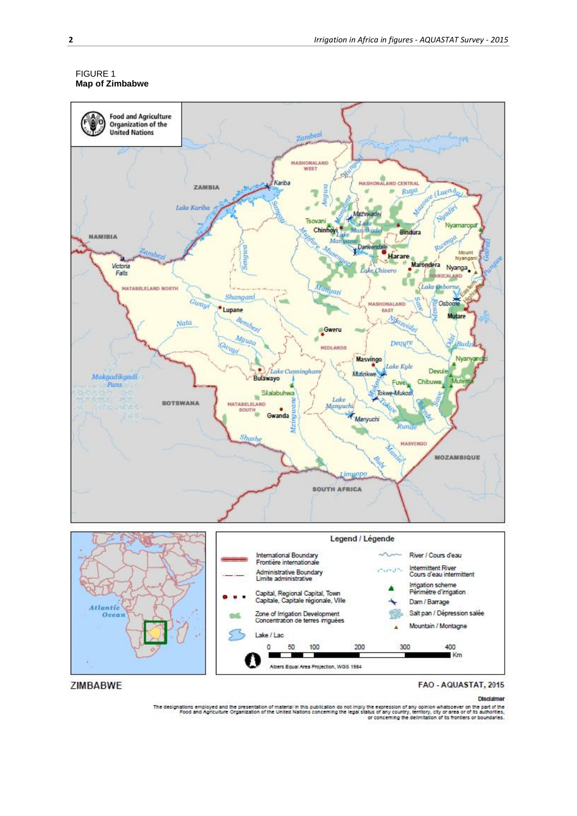

#### FIGURE 1 **Map of Zimbabwe**

#### FAO - AQUASTAT, 2015

#### Disclaimer

The designations employed and the presentation of material in this publication do not imply the expression of any opinion whatsoever on the part of the<br>Food and Agriculture Organization of the United Nations concerning the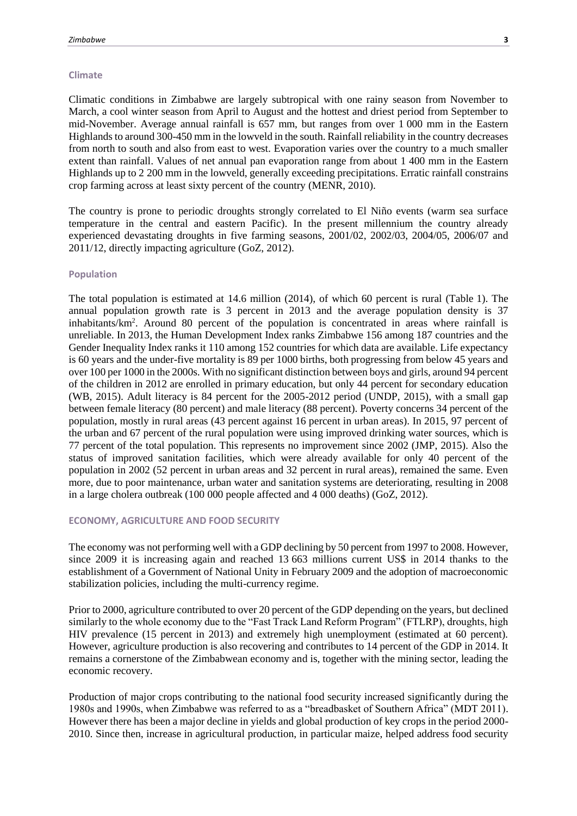#### **Climate**

Climatic conditions in Zimbabwe are largely subtropical with one rainy season from November to March, a cool winter season from April to August and the hottest and driest period from September to mid-November. Average annual rainfall is 657 mm, but ranges from over 1 000 mm in the Eastern Highlands to around 300-450 mm in the lowveld in the south. Rainfall reliability in the country decreases from north to south and also from east to west. Evaporation varies over the country to a much smaller extent than rainfall. Values of net annual pan evaporation range from about 1 400 mm in the Eastern Highlands up to 2 200 mm in the lowveld, generally exceeding precipitations. Erratic rainfall constrains crop farming across at least sixty percent of the country (MENR, 2010).

The country is prone to periodic droughts strongly correlated to El Niño events (warm sea surface temperature in the central and eastern Pacific). In the present millennium the country already experienced devastating droughts in five farming seasons, 2001/02, 2002/03, 2004/05, 2006/07 and 2011/12, directly impacting agriculture (GoZ, 2012).

# **Population**

The total population is estimated at 14.6 million (2014), of which 60 percent is rural (Table 1). The annual population growth rate is 3 percent in 2013 and the average population density is 37 inhabitants/km<sup>2</sup>. Around 80 percent of the population is concentrated in areas where rainfall is unreliable. In 2013, the Human Development Index ranks Zimbabwe 156 among 187 countries and the Gender Inequality Index ranks it 110 among 152 countries for which data are available. Life expectancy is 60 years and the under-five mortality is 89 per 1000 births, both progressing from below 45 years and over 100 per 1000 in the 2000s. With no significant distinction between boys and girls, around 94 percent of the children in 2012 are enrolled in primary education, but only 44 percent for secondary education (WB, 2015). Adult literacy is 84 percent for the 2005-2012 period (UNDP, 2015), with a small gap between female literacy (80 percent) and male literacy (88 percent). Poverty concerns 34 percent of the population, mostly in rural areas (43 percent against 16 percent in urban areas). In 2015, 97 percent of the urban and 67 percent of the rural population were using improved drinking water sources, which is 77 percent of the total population. This represents no improvement since 2002 (JMP, 2015). Also the status of improved sanitation facilities, which were already available for only 40 percent of the population in 2002 (52 percent in urban areas and 32 percent in rural areas), remained the same. Even more, due to poor maintenance, urban water and sanitation systems are deteriorating, resulting in 2008 in a large cholera outbreak (100 000 people affected and 4 000 deaths) (GoZ, 2012).

# **ECONOMY, AGRICULTURE AND FOOD SECURITY**

The economy was not performing well with a GDP declining by 50 percent from 1997 to 2008. However, since 2009 it is increasing again and reached 13 663 millions current US\$ in 2014 thanks to the establishment of a Government of National Unity in February 2009 and the adoption of macroeconomic stabilization policies, including the multi-currency regime.

Prior to 2000, agriculture contributed to over 20 percent of the GDP depending on the years, but declined similarly to the whole economy due to the "Fast Track Land Reform Program" (FTLRP), droughts, high HIV prevalence (15 percent in 2013) and extremely high unemployment (estimated at 60 percent). However, agriculture production is also recovering and contributes to 14 percent of the GDP in 2014. It remains a cornerstone of the Zimbabwean economy and is, together with the mining sector, leading the economic recovery.

Production of major crops contributing to the national food security increased significantly during the 1980s and 1990s, when Zimbabwe was referred to as a "breadbasket of Southern Africa" (MDT 2011). However there has been a major decline in yields and global production of key crops in the period 2000- 2010. Since then, increase in agricultural production, in particular maize, helped address food security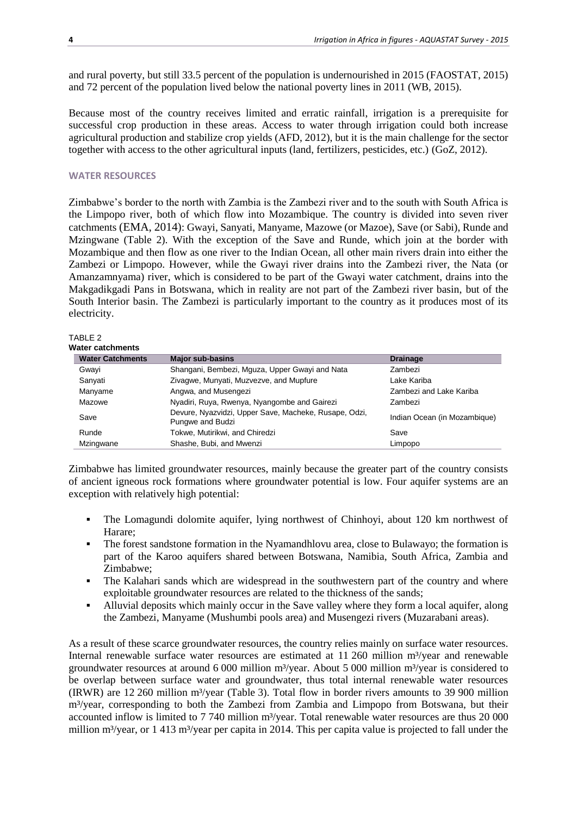and rural poverty, but still 33.5 percent of the population is undernourished in 2015 (FAOSTAT, 2015) and 72 percent of the population lived below the national poverty lines in 2011 (WB, 2015).

Because most of the country receives limited and erratic rainfall, irrigation is a prerequisite for successful crop production in these areas. Access to water through irrigation could both increase agricultural production and stabilize crop yields (AFD, 2012), but it is the main challenge for the sector together with access to the other agricultural inputs (land, fertilizers, pesticides, etc.) (GoZ, 2012).

# **WATER RESOURCES**

Zimbabwe's border to the north with Zambia is the Zambezi river and to the south with South Africa is the Limpopo river, both of which flow into Mozambique. The country is divided into seven river catchments (EMA, 2014): Gwayi, Sanyati, Manyame, Mazowe (or Mazoe), Save (or Sabi), Runde and Mzingwane (Table 2). With the exception of the Save and Runde, which join at the border with Mozambique and then flow as one river to the Indian Ocean, all other main rivers drain into either the Zambezi or Limpopo. However, while the Gwayi river drains into the Zambezi river, the Nata (or Amanzamnyama) river, which is considered to be part of the Gwayi water catchment, drains into the Makgadikgadi Pans in Botswana, which in reality are not part of the Zambezi river basin, but of the South Interior basin. The Zambezi is particularly important to the country as it produces most of its electricity.

# TABLE 2

# **Water catchments**

| <b>Water Catchments</b> | <b>Major sub-basins</b>                                                   | <b>Drainage</b>              |
|-------------------------|---------------------------------------------------------------------------|------------------------------|
| Gwayi                   | Shangani, Bembezi, Mguza, Upper Gwayi and Nata                            | Zambezi                      |
| Sanyati                 | Zivagwe, Munyati, Muzvezve, and Mupfure                                   | Lake Kariba                  |
| Manyame                 | Angwa, and Musengezi                                                      | Zambezi and Lake Kariba      |
| Mazowe                  | Nyadiri, Ruya, Rwenya, Nyangombe and Gairezi                              | Zambezi                      |
| Save                    | Devure, Nyazvidzi, Upper Save, Macheke, Rusape, Odzi,<br>Pungwe and Budzi | Indian Ocean (in Mozambique) |
| Runde                   | Tokwe, Mutirikwi, and Chiredzi                                            | Save                         |
| Mzingwane               | Shashe, Bubi, and Mwenzi                                                  | Limpopo                      |

Zimbabwe has limited groundwater resources, mainly because the greater part of the country consists of ancient igneous rock formations where groundwater potential is low. Four aquifer systems are an exception with relatively high potential:

- The Lomagundi dolomite aquifer, lying northwest of Chinhoyi, about 120 km northwest of Harare;
- The forest sandstone formation in the Nyamandhlovu area, close to Bulawayo; the formation is part of the Karoo aquifers shared between Botswana, Namibia, South Africa, Zambia and Zimbabwe;
- The Kalahari sands which are widespread in the southwestern part of the country and where exploitable groundwater resources are related to the thickness of the sands;
- Alluvial deposits which mainly occur in the Save valley where they form a local aquifer, along the Zambezi, Manyame (Mushumbi pools area) and Musengezi rivers (Muzarabani areas).

As a result of these scarce groundwater resources, the country relies mainly on surface water resources. Internal renewable surface water resources are estimated at  $11,260$  million m<sup>3</sup>/year and renewable groundwater resources at around 6 000 million m<sup>3</sup>/year. About 5 000 million m<sup>3</sup>/year is considered to be overlap between surface water and groundwater, thus total internal renewable water resources  $(IRWR)$  are 12 260 million m<sup>3</sup>/year (Table 3). Total flow in border rivers amounts to 39 900 million m³/year, corresponding to both the Zambezi from Zambia and Limpopo from Botswana, but their accounted inflow is limited to 7 740 million m<sup>3</sup>/year. Total renewable water resources are thus 20 000 million m<sup>3</sup>/year, or 1 413 m<sup>3</sup>/year per capita in 2014. This per capita value is projected to fall under the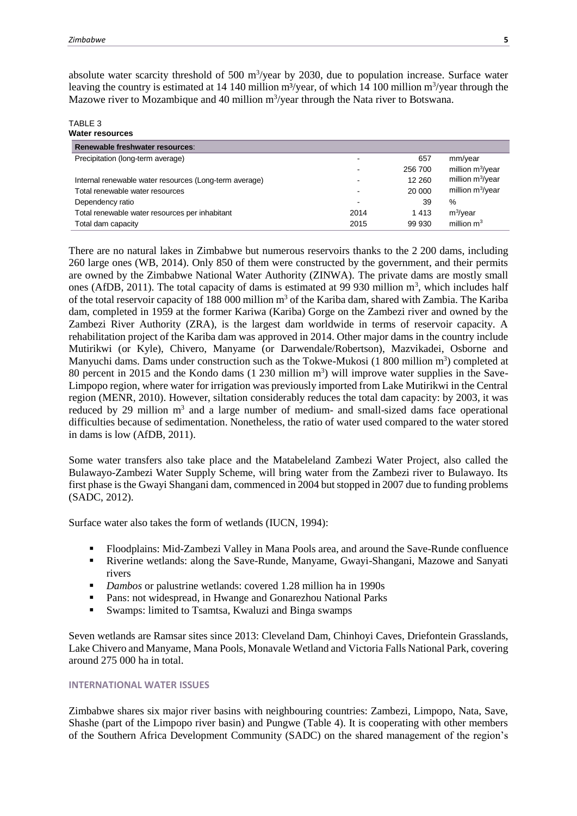absolute water scarcity threshold of 500  $m^3$ /year by 2030, due to population increase. Surface water leaving the country is estimated at 14 140 million m<sup>3</sup>/year, of which 14 100 million m<sup>3</sup>/year through the Mazowe river to Mozambique and 40 million m<sup>3</sup>/year through the Nata river to Botswana.

#### TABLE 3 **Water resources**

| ,,,,,,,,,,,,,,,,,                                      |      |         |                     |
|--------------------------------------------------------|------|---------|---------------------|
| Renewable freshwater resources:                        |      |         |                     |
| Precipitation (long-term average)                      |      | 657     | mm/year             |
|                                                        |      | 256 700 | million $m^3$ /year |
| Internal renewable water resources (Long-term average) |      | 12 260  | million $m^3$ /year |
| Total renewable water resources                        |      | 20 000  | million $m^3$ /year |
| Dependency ratio                                       |      | 39      | %                   |
| Total renewable water resources per inhabitant         | 2014 | 1413    | $m^3$ /year         |
| Total dam capacity                                     | 2015 | 99 930  | million $m3$        |

There are no natural lakes in Zimbabwe but numerous reservoirs thanks to the 2 200 dams, including 260 large ones (WB, 2014). Only 850 of them were constructed by the government, and their permits are owned by the Zimbabwe National Water Authority (ZINWA). The private dams are mostly small ones (AfDB, 2011). The total capacity of dams is estimated at 99 930 million  $m<sup>3</sup>$ , which includes half of the total reservoir capacity of 188 000 million m<sup>3</sup> of the Kariba dam, shared with Zambia. The Kariba dam, completed in 1959 at the former Kariwa (Kariba) Gorge on the Zambezi river and owned by the Zambezi River Authority (ZRA), is the largest dam worldwide in terms of reservoir capacity. A rehabilitation project of the Kariba dam was approved in 2014. Other major dams in the country include Mutirikwi (or Kyle), Chivero, Manyame (or Darwendale/Robertson), Mazvikadei, Osborne and Manyuchi dams. Dams under construction such as the Tokwe-Mukosi (1 800 million m<sup>3</sup>) completed at 80 percent in 2015 and the Kondo dams  $(1\ 230\ \text{million}\ \text{m}^3)$  will improve water supplies in the Save-Limpopo region, where water for irrigation was previously imported from Lake Mutirikwi in the Central region (MENR, 2010). However, siltation considerably reduces the total dam capacity: by 2003, it was reduced by 29 million m<sup>3</sup> and a large number of medium- and small-sized dams face operational difficulties because of sedimentation. Nonetheless, the ratio of water used compared to the water stored in dams is low (AfDB, 2011).

Some water transfers also take place and the Matabeleland Zambezi Water Project, also called the Bulawayo-Zambezi Water Supply Scheme, will bring water from the Zambezi river to Bulawayo. Its first phase is the Gwayi Shangani dam, commenced in 2004 but stopped in 2007 due to funding problems (SADC, 2012).

Surface water also takes the form of wetlands (IUCN, 1994):

- Floodplains: Mid-Zambezi Valley in Mana Pools area, and around the Save-Runde confluence
- Riverine wetlands: along the Save-Runde, Manyame, Gwayi-Shangani, Mazowe and Sanyati rivers
- *Dambos* or palustrine wetlands: covered 1.28 million ha in 1990s
- Pans: not widespread, in Hwange and Gonarezhou National Parks
- Swamps: limited to Tsamtsa, Kwaluzi and Binga swamps

Seven wetlands are Ramsar sites since 2013: Cleveland Dam, Chinhoyi Caves, Driefontein Grasslands, Lake Chivero and Manyame, Mana Pools, Monavale Wetland and Victoria Falls National Park, covering around 275 000 ha in total.

# **INTERNATIONAL WATER ISSUES**

Zimbabwe shares six major river basins with neighbouring countries: Zambezi, Limpopo, Nata, Save, Shashe (part of the Limpopo river basin) and Pungwe (Table 4). It is cooperating with other members of the Southern Africa Development Community (SADC) on the shared management of the region's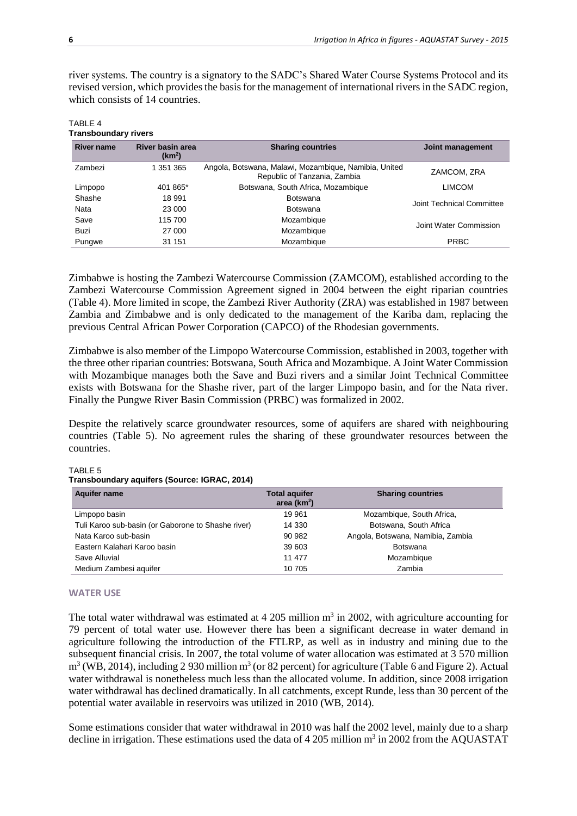river systems. The country is a signatory to the SADC's Shared Water Course Systems Protocol and its revised version, which provides the basis for the management of international rivers in the SADC region, which consists of 14 countries.

TABLE 4 **Transboundary rivers**

| <b>River name</b> | River basin area<br>(km <sup>2</sup> ) | <b>Sharing countries</b>                                                              | Joint management          |
|-------------------|----------------------------------------|---------------------------------------------------------------------------------------|---------------------------|
| Zambezi           | 1 351 365                              | Angola, Botswana, Malawi, Mozambique, Namibia, United<br>Republic of Tanzania, Zambia | ZAMCOM, ZRA               |
| Limpopo           | 401 865*                               | Botswana, South Africa, Mozambique                                                    | LIMCOM                    |
| Shashe            | 18 991                                 | <b>Botswana</b>                                                                       | Joint Technical Committee |
| Nata              | 23 000                                 | Botswana                                                                              |                           |
| Save              | 115 700                                | Mozambique                                                                            | Joint Water Commission    |
| Buzi              | 27 000                                 | Mozambique                                                                            |                           |
| Pungwe            | 31 151                                 | Mozambique                                                                            | <b>PRBC</b>               |

Zimbabwe is hosting the Zambezi Watercourse Commission (ZAMCOM), established according to the Zambezi Watercourse Commission Agreement signed in 2004 between the eight riparian countries (Table 4). More limited in scope, the Zambezi River Authority (ZRA) was established in 1987 between Zambia and Zimbabwe and is only dedicated to the management of the Kariba dam, replacing the previous Central African Power Corporation (CAPCO) of the Rhodesian governments.

Zimbabwe is also member of the Limpopo Watercourse Commission, established in 2003, together with the three other riparian countries: Botswana, South Africa and Mozambique. A Joint Water Commission with Mozambique manages both the Save and Buzi rivers and a similar Joint Technical Committee exists with Botswana for the Shashe river, part of the larger Limpopo basin, and for the Nata river. Finally the Pungwe River Basin Commission (PRBC) was formalized in 2002.

Despite the relatively scarce groundwater resources, some of aquifers are shared with neighbouring countries (Table 5). No agreement rules the sharing of these groundwater resources between the countries.

# TABLE 5

#### **Transboundary aquifers (Source: IGRAC, 2014)**

| <b>Aquifer name</b>                                | <b>Total aquifer</b><br>area ( $km^2$ ) | <b>Sharing countries</b>          |
|----------------------------------------------------|-----------------------------------------|-----------------------------------|
| Limpopo basin                                      | 19 961                                  | Mozambique, South Africa,         |
| Tuli Karoo sub-basin (or Gaborone to Shashe river) | 14 330                                  | Botswana, South Africa            |
| Nata Karoo sub-basin                               | 90 982                                  | Angola, Botswana, Namibia, Zambia |
| Eastern Kalahari Karoo basin                       | 39 603                                  | <b>Botswana</b>                   |
| Save Alluvial                                      | 11 477                                  | Mozambique                        |
| Medium Zambesi aquifer                             | 10 705                                  | Zambia                            |

#### **WATER USE**

The total water withdrawal was estimated at  $4\,205$  million  $m^3$  in 2002, with agriculture accounting for 79 percent of total water use. However there has been a significant decrease in water demand in agriculture following the introduction of the FTLRP, as well as in industry and mining due to the subsequent financial crisis. In 2007, the total volume of water allocation was estimated at 3 570 million  $m<sup>3</sup>$  (WB, 2014), including 2 930 million  $m<sup>3</sup>$  (or 82 percent) for agriculture (Table 6 and Figure 2). Actual water withdrawal is nonetheless much less than the allocated volume. In addition, since 2008 irrigation water withdrawal has declined dramatically. In all catchments, except Runde, less than 30 percent of the potential water available in reservoirs was utilized in 2010 (WB, 2014).

Some estimations consider that water withdrawal in 2010 was half the 2002 level, mainly due to a sharp decline in irrigation. These estimations used the data of  $4205$  million m<sup>3</sup> in 2002 from the AQUASTAT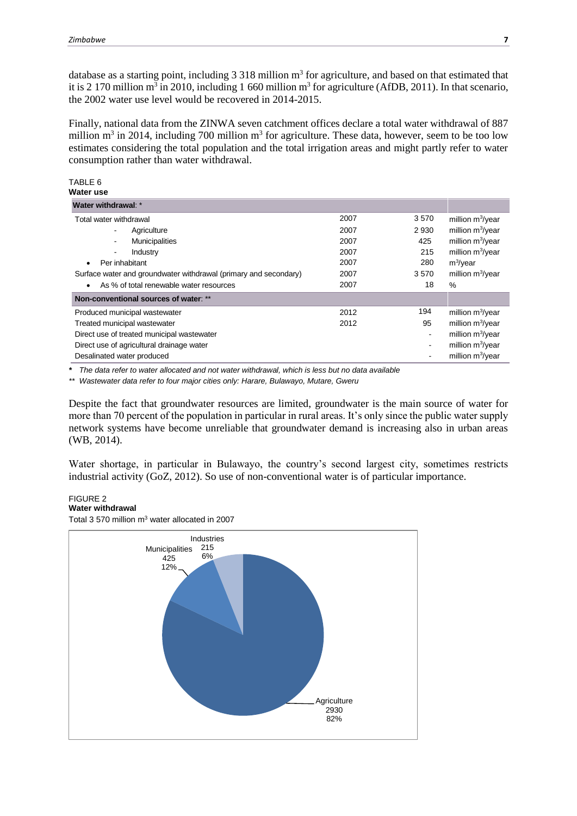database as a starting point, including  $3\,318$  million m<sup>3</sup> for agriculture, and based on that estimated that it is 2 170 million m<sup>3</sup> in 2010, including 1 660 million m<sup>3</sup> for agriculture (AfDB, 2011). In that scenario, the 2002 water use level would be recovered in 2014-2015.

Finally, national data from the ZINWA seven catchment offices declare a total water withdrawal of 887 million  $m^3$  in 2014, including 700 million  $m^3$  for agriculture. These data, however, seem to be too low estimates considering the total population and the total irrigation areas and might partly refer to water consumption rather than water withdrawal.

| TABLE 6<br>Water use                                             |      |                |                              |
|------------------------------------------------------------------|------|----------------|------------------------------|
| Water withdrawal: *                                              |      |                |                              |
| Total water withdrawal                                           | 2007 | 3570           | million $m^3$ /year          |
| Agriculture                                                      | 2007 | 2 9 3 0        | million $m^3$ /year          |
| Municipalities                                                   | 2007 | 425            | million m <sup>3</sup> /year |
| Industry<br>٠                                                    | 2007 | 215            | million $m^3$ /year          |
| Per inhabitant<br>$\bullet$                                      | 2007 | 280            | $m^3$ /year                  |
| Surface water and groundwater withdrawal (primary and secondary) | 2007 | 3570           | million $m^3$ /year          |
| As % of total renewable water resources<br>$\bullet$             | 2007 | 18             | $\%$                         |
| Non-conventional sources of water: **                            |      |                |                              |
| Produced municipal wastewater                                    | 2012 | 194            | million $m^3$ /year          |
| Treated municipal wastewater                                     | 2012 | 95             | million $m^3$ /year          |
| Direct use of treated municipal wastewater                       |      | $\blacksquare$ | million $m^3$ /year          |
| Direct use of agricultural drainage water                        |      | ۰              | million $m^3$ /year          |
| Desalinated water produced                                       |      |                | million $m^3$ /year          |

*\* The data refer to water allocated and not water withdrawal, which is less but no data available*

*\*\* Wastewater data refer to four major cities only: Harare, Bulawayo, Mutare, Gweru*

Despite the fact that groundwater resources are limited, groundwater is the main source of water for more than 70 percent of the population in particular in rural areas. It's only since the public water supply network systems have become unreliable that groundwater demand is increasing also in urban areas (WB, 2014).

Water shortage, in particular in Bulawayo, the country's second largest city, sometimes restricts industrial activity (GoZ, 2012). So use of non-conventional water is of particular importance.

#### FIGURE 2 **Water withdrawal**

Total 3 570 million m<sup>3</sup> water allocated in 2007

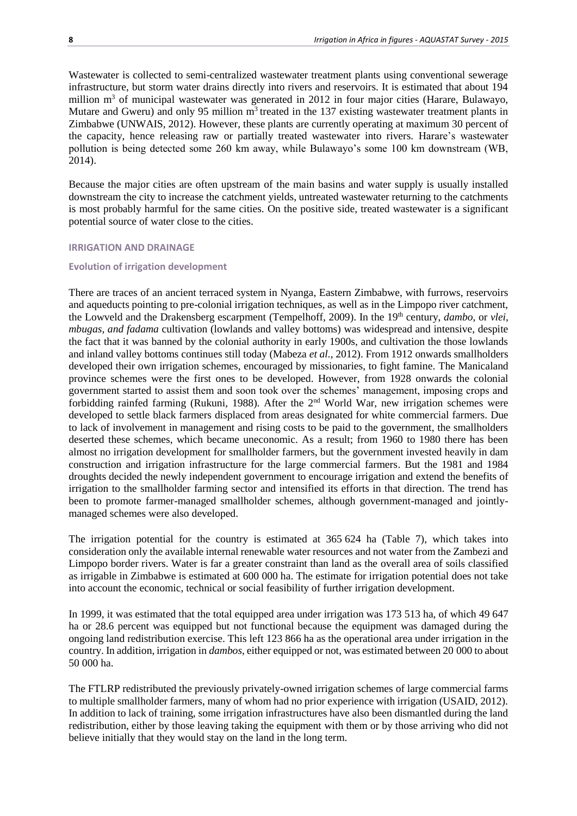Wastewater is collected to semi-centralized wastewater treatment plants using conventional sewerage infrastructure, but storm water drains directly into rivers and reservoirs. It is estimated that about 194 million m<sup>3</sup> of municipal wastewater was generated in 2012 in four major cities (Harare, Bulawayo, Mutare and Gweru) and only 95 million  $m<sup>3</sup>$  treated in the 137 existing wastewater treatment plants in Zimbabwe (UNWAIS, 2012). However, these plants are currently operating at maximum 30 percent of the capacity, hence releasing raw or partially treated wastewater into rivers. Harare's wastewater pollution is being detected some 260 km away, while Bulawayo's some 100 km downstream (WB, 2014).

Because the major cities are often upstream of the main basins and water supply is usually installed downstream the city to increase the catchment yields, untreated wastewater returning to the catchments is most probably harmful for the same cities. On the positive side, treated wastewater is a significant potential source of water close to the cities.

### **IRRIGATION AND DRAINAGE**

#### **Evolution of irrigation development**

There are traces of an ancient terraced system in Nyanga, Eastern Zimbabwe, with furrows, reservoirs and aqueducts pointing to pre-colonial irrigation techniques, as well as in the Limpopo river catchment, the Lowveld and the Drakensberg escarpment (Tempelhoff, 2009). In the 19<sup>th</sup> century, *dambo*, or *vlei*, *mbugas, and fadama* cultivation (lowlands and valley bottoms) was widespread and intensive, despite the fact that it was banned by the colonial authority in early 1900s, and cultivation the those lowlands and inland valley bottoms continues still today (Mabeza *et al.*, 2012). From 1912 onwards smallholders developed their own irrigation schemes, encouraged by missionaries, to fight famine. The Manicaland province schemes were the first ones to be developed. However, from 1928 onwards the colonial government started to assist them and soon took over the schemes' management, imposing crops and forbidding rainfed farming (Rukuni, 1988). After the 2<sup>nd</sup> World War, new irrigation schemes were developed to settle black farmers displaced from areas designated for white commercial farmers. Due to lack of involvement in management and rising costs to be paid to the government, the smallholders deserted these schemes, which became uneconomic. As a result; from 1960 to 1980 there has been almost no irrigation development for smallholder farmers, but the government invested heavily in dam construction and irrigation infrastructure for the large commercial farmers. But the 1981 and 1984 droughts decided the newly independent government to encourage irrigation and extend the benefits of irrigation to the smallholder farming sector and intensified its efforts in that direction. The trend has been to promote farmer-managed smallholder schemes, although government-managed and jointlymanaged schemes were also developed.

The irrigation potential for the country is estimated at 365 624 ha (Table 7), which takes into consideration only the available internal renewable water resources and not water from the Zambezi and Limpopo border rivers. Water is far a greater constraint than land as the overall area of soils classified as irrigable in Zimbabwe is estimated at 600 000 ha. The estimate for irrigation potential does not take into account the economic, technical or social feasibility of further irrigation development.

In 1999, it was estimated that the total equipped area under irrigation was 173 513 ha, of which 49 647 ha or 28.6 percent was equipped but not functional because the equipment was damaged during the ongoing land redistribution exercise. This left 123 866 ha as the operational area under irrigation in the country. In addition, irrigation in *dambos*, either equipped or not, was estimated between 20 000 to about 50 000 ha.

The FTLRP redistributed the previously privately-owned irrigation schemes of large commercial farms to multiple smallholder farmers, many of whom had no prior experience with irrigation (USAID, 2012). In addition to lack of training, some irrigation infrastructures have also been dismantled during the land redistribution, either by those leaving taking the equipment with them or by those arriving who did not believe initially that they would stay on the land in the long term.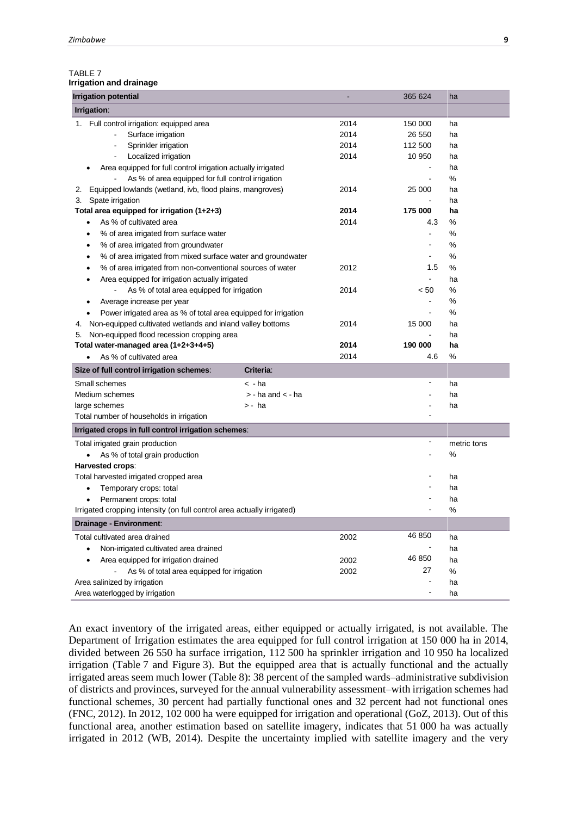#### TABLE 7 **Irrigation and drainage**

| <b>Irrigation potential</b>                                                        |      | 365 624        | ha          |
|------------------------------------------------------------------------------------|------|----------------|-------------|
| Irrigation:                                                                        |      |                |             |
| 1. Full control irrigation: equipped area                                          | 2014 | 150 000        | ha          |
| Surface irrigation                                                                 | 2014 | 26 550         | ha          |
| Sprinkler irrigation<br>$\blacksquare$                                             | 2014 | 112 500        | ha          |
| Localized irrigation<br>$\blacksquare$                                             | 2014 | 10 950         | ha          |
| Area equipped for full control irrigation actually irrigated                       |      |                | ha          |
| As % of area equipped for full control irrigation                                  |      | $\blacksquare$ | %           |
| Equipped lowlands (wetland, ivb, flood plains, mangroves)<br>2.                    | 2014 | 25 000         | ha          |
| Spate irrigation<br>3.                                                             |      |                | ha          |
| Total area equipped for irrigation (1+2+3)                                         | 2014 | 175 000        | ha          |
| As % of cultivated area<br>$\bullet$                                               | 2014 | 4.3            | %           |
| % of area irrigated from surface water                                             |      |                | %           |
| % of area irrigated from groundwater                                               |      |                | %           |
| % of area irrigated from mixed surface water and groundwater                       |      |                | %           |
| % of area irrigated from non-conventional sources of water                         | 2012 | 1.5            | %           |
| Area equipped for irrigation actually irrigated                                    |      | ä,             | ha          |
| As % of total area equipped for irrigation                                         | 2014 | < 50           | %           |
| Average increase per year<br>٠                                                     |      |                | %           |
| Power irrigated area as % of total area equipped for irrigation                    |      |                | %           |
| Non-equipped cultivated wetlands and inland valley bottoms<br>4.                   | 2014 | 15 000         | ha          |
| Non-equipped flood recession cropping area<br>5.                                   |      |                | ha          |
| Total water-managed area (1+2+3+4+5)                                               | 2014 | 190 000        | ha          |
| As % of cultivated area                                                            | 2014 | 4.6            | %           |
| Size of full control irrigation schemes:<br>Criteria:                              |      |                |             |
| Small schemes<br>< −ha                                                             |      | ۰              | ha          |
|                                                                                    |      |                |             |
| $>$ - ha and $<$ - ha<br>Medium schemes                                            |      |                | ha          |
| large schemes<br>> - ha                                                            |      |                | ha          |
| Total number of households in irrigation                                           |      |                |             |
| Irrigated crops in full control irrigation schemes:                                |      |                |             |
| Total irrigated grain production                                                   |      |                | metric tons |
| As % of total grain production                                                     |      |                | %           |
| Harvested crops:                                                                   |      |                |             |
| Total harvested irrigated cropped area                                             |      |                | ha          |
| Temporary crops: total<br>$\bullet$                                                |      |                | ha          |
| Permanent crops: total                                                             |      |                | ha          |
| Irrigated cropping intensity (on full control area actually irrigated)             |      |                | %           |
| Drainage - Environment:                                                            |      |                |             |
| Total cultivated area drained                                                      | 2002 | 46 850         | ha          |
| Non-irrigated cultivated area drained                                              |      |                | ha          |
|                                                                                    | 2002 | 46 850         | ha          |
| Area equipped for irrigation drained<br>As % of total area equipped for irrigation | 2002 | 27             | %           |
| Area salinized by irrigation                                                       |      | ÷,             | ha          |

An exact inventory of the irrigated areas, either equipped or actually irrigated, is not available. The Department of Irrigation estimates the area equipped for full control irrigation at 150 000 ha in 2014, divided between 26 550 ha surface irrigation, 112 500 ha sprinkler irrigation and 10 950 ha localized irrigation (Table 7 and Figure 3). But the equipped area that is actually functional and the actually irrigated areas seem much lower (Table 8): 38 percent of the sampled wards–administrative subdivision of districts and provinces, surveyed for the annual vulnerability assessment–with irrigation schemes had functional schemes, 30 percent had partially functional ones and 32 percent had not functional ones (FNC, 2012). In 2012, 102 000 ha were equipped for irrigation and operational (GoZ, 2013). Out of this functional area, another estimation based on satellite imagery, indicates that 51 000 ha was actually irrigated in 2012 (WB, 2014). Despite the uncertainty implied with satellite imagery and the very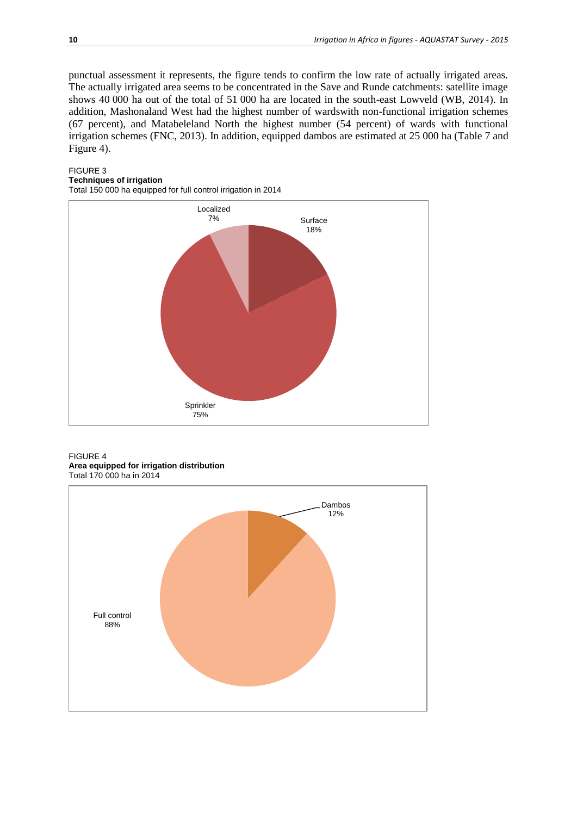punctual assessment it represents, the figure tends to confirm the low rate of actually irrigated areas. The actually irrigated area seems to be concentrated in the Save and Runde catchments: satellite image shows 40 000 ha out of the total of 51 000 ha are located in the south-east Lowveld (WB, 2014). In addition, Mashonaland West had the highest number of wardswith non-functional irrigation schemes (67 percent), and Matabeleland North the highest number (54 percent) of wards with functional irrigation schemes (FNC, 2013). In addition, equipped dambos are estimated at 25 000 ha (Table 7 and Figure 4).

# FIGURE 3 **Techniques of irrigation**



FIGURE 4 **Area equipped for irrigation distribution** Total 170 000 ha in 2014

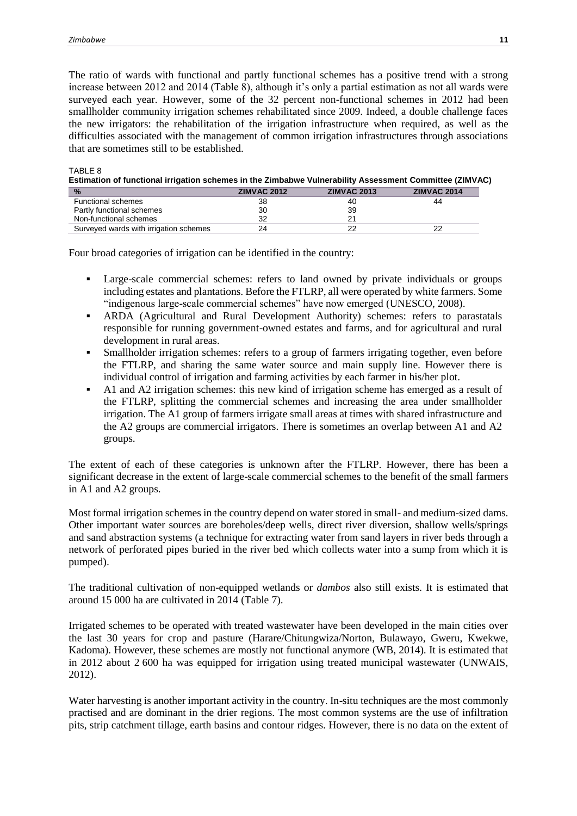The ratio of wards with functional and partly functional schemes has a positive trend with a strong increase between 2012 and 2014 (Table 8), although it's only a partial estimation as not all wards were surveyed each year. However, some of the 32 percent non-functional schemes in 2012 had been smallholder community irrigation schemes rehabilitated since 2009. Indeed, a double challenge faces the new irrigators: the rehabilitation of the irrigation infrastructure when required, as well as the difficulties associated with the management of common irrigation infrastructures through associations that are sometimes still to be established.

TABLE 8

|                                                                                                         | THEIFY A A A A A | $\n  711 11 12 13 14 15 16 17 19 19 19 19 19 19 19 19 19 19 19 19 19 19 19 19 19 19 19 <$ | $\n  5 1 1 1 2 2 3 3 4 5 6 7 8 9 9 1 1 1 1 1 1 1 1 1 1 1 1 1 1 1 1 <$ |  |
|---------------------------------------------------------------------------------------------------------|------------------|-------------------------------------------------------------------------------------------|-----------------------------------------------------------------------|--|
| Estimation of functional irrigation schemes in the Zimbabwe Vulnerability Assessment Committee (ZIMVAC) |                  |                                                                                           |                                                                       |  |
| -------                                                                                                 |                  |                                                                                           |                                                                       |  |

| $\frac{9}{6}$                          | <b>ZIMVAC 2012</b> | <b>ZIMVAC 2013</b> | <b>ZIMVAC 2014</b> |
|----------------------------------------|--------------------|--------------------|--------------------|
| <b>Functional schemes</b>              | 38                 | 40                 | 44                 |
| Partly functional schemes              | 30                 | 39                 |                    |
| Non-functional schemes                 | 32                 |                    |                    |
| Surveyed wards with irrigation schemes | 24                 |                    |                    |

Four broad categories of irrigation can be identified in the country:

- Large-scale commercial schemes: refers to land owned by private individuals or groups including estates and plantations. Before the FTLRP, all were operated by white farmers. Some "indigenous large-scale commercial schemes" have now emerged (UNESCO, 2008).
- ARDA (Agricultural and Rural Development Authority) schemes: refers to parastatals responsible for running government-owned estates and farms, and for agricultural and rural development in rural areas.
- Smallholder irrigation schemes: refers to a group of farmers irrigating together, even before the FTLRP, and sharing the same water source and main supply line. However there is individual control of irrigation and farming activities by each farmer in his/her plot.
- A1 and A2 irrigation schemes: this new kind of irrigation scheme has emerged as a result of the FTLRP, splitting the commercial schemes and increasing the area under smallholder irrigation. The A1 group of farmers irrigate small areas at times with shared infrastructure and the A2 groups are commercial irrigators. There is sometimes an overlap between A1 and A2 groups.

The extent of each of these categories is unknown after the FTLRP. However, there has been a significant decrease in the extent of large-scale commercial schemes to the benefit of the small farmers in A1 and A2 groups.

Most formal irrigation schemes in the country depend on water stored in small- and medium-sized dams. Other important water sources are boreholes/deep wells, direct river diversion, shallow wells/springs and sand abstraction systems (a technique for extracting water from sand layers in river beds through a network of perforated pipes buried in the river bed which collects water into a sump from which it is pumped).

The traditional cultivation of non-equipped wetlands or *dambos* also still exists. It is estimated that around 15 000 ha are cultivated in 2014 (Table 7).

Irrigated schemes to be operated with treated wastewater have been developed in the main cities over the last 30 years for crop and pasture (Harare/Chitungwiza/Norton, Bulawayo, Gweru, Kwekwe, Kadoma). However, these schemes are mostly not functional anymore (WB, 2014). It is estimated that in 2012 about 2 600 ha was equipped for irrigation using treated municipal wastewater (UNWAIS, 2012).

Water harvesting is another important activity in the country. In-situ techniques are the most commonly practised and are dominant in the drier regions. The most common systems are the use of infiltration pits, strip catchment tillage, earth basins and contour ridges. However, there is no data on the extent of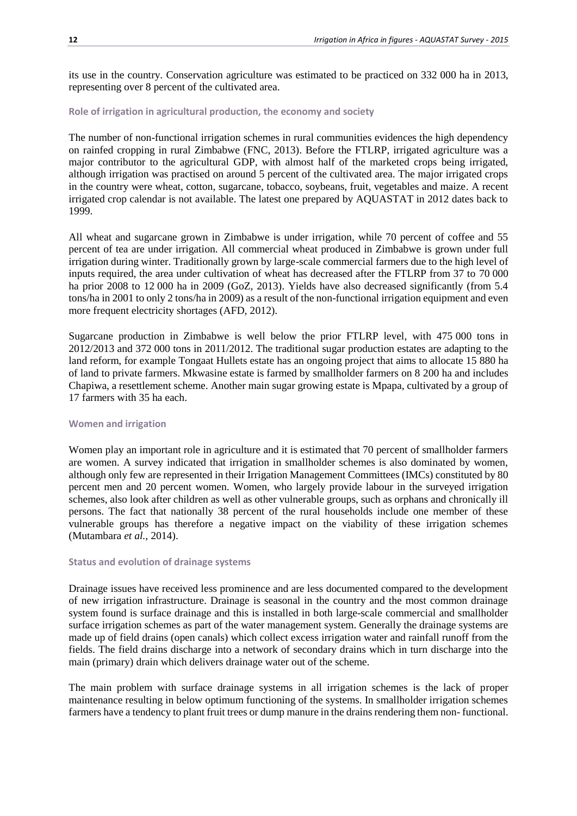its use in the country. Conservation agriculture was estimated to be practiced on 332 000 ha in 2013, representing over 8 percent of the cultivated area.

# **Role of irrigation in agricultural production, the economy and society**

The number of non-functional irrigation schemes in rural communities evidences the high dependency on rainfed cropping in rural Zimbabwe (FNC, 2013). Before the FTLRP, irrigated agriculture was a major contributor to the agricultural GDP, with almost half of the marketed crops being irrigated, although irrigation was practised on around 5 percent of the cultivated area. The major irrigated crops in the country were wheat, cotton, sugarcane, tobacco, soybeans, fruit, vegetables and maize. A recent irrigated crop calendar is not available. The latest one prepared by AQUASTAT in 2012 dates back to 1999.

All wheat and sugarcane grown in Zimbabwe is under irrigation, while 70 percent of coffee and 55 percent of tea are under irrigation. All commercial wheat produced in Zimbabwe is grown under full irrigation during winter. Traditionally grown by large-scale commercial farmers due to the high level of inputs required, the area under cultivation of wheat has decreased after the FTLRP from 37 to 70 000 ha prior 2008 to 12 000 ha in 2009 (GoZ, 2013). Yields have also decreased significantly (from 5.4 tons/ha in 2001 to only 2 tons/ha in 2009) as a result of the non-functional irrigation equipment and even more frequent electricity shortages (AFD, 2012).

Sugarcane production in Zimbabwe is well below the prior FTLRP level, with 475 000 tons in 2012/2013 and 372 000 tons in 2011/2012. The traditional sugar production estates are adapting to the land reform, for example Tongaat Hullets estate has an ongoing project that aims to allocate 15 880 ha of land to private farmers. Mkwasine estate is farmed by smallholder farmers on 8 200 ha and includes Chapiwa, a resettlement scheme. Another main sugar growing estate is Mpapa, cultivated by a group of 17 farmers with 35 ha each.

# **Women and irrigation**

Women play an important role in agriculture and it is estimated that 70 percent of smallholder farmers are women. A survey indicated that irrigation in smallholder schemes is also dominated by women, although only few are represented in their Irrigation Management Committees (IMCs) constituted by 80 percent men and 20 percent women. Women, who largely provide labour in the surveyed irrigation schemes, also look after children as well as other vulnerable groups, such as orphans and chronically ill persons. The fact that nationally 38 percent of the rural households include one member of these vulnerable groups has therefore a negative impact on the viability of these irrigation schemes (Mutambara *et al.*, 2014).

# **Status and evolution of drainage systems**

Drainage issues have received less prominence and are less documented compared to the development of new irrigation infrastructure. Drainage is seasonal in the country and the most common drainage system found is surface drainage and this is installed in both large-scale commercial and smallholder surface irrigation schemes as part of the water management system. Generally the drainage systems are made up of field drains (open canals) which collect excess irrigation water and rainfall runoff from the fields. The field drains discharge into a network of secondary drains which in turn discharge into the main (primary) drain which delivers drainage water out of the scheme.

The main problem with surface drainage systems in all irrigation schemes is the lack of proper maintenance resulting in below optimum functioning of the systems. In smallholder irrigation schemes farmers have a tendency to plant fruit trees or dump manure in the drains rendering them non- functional.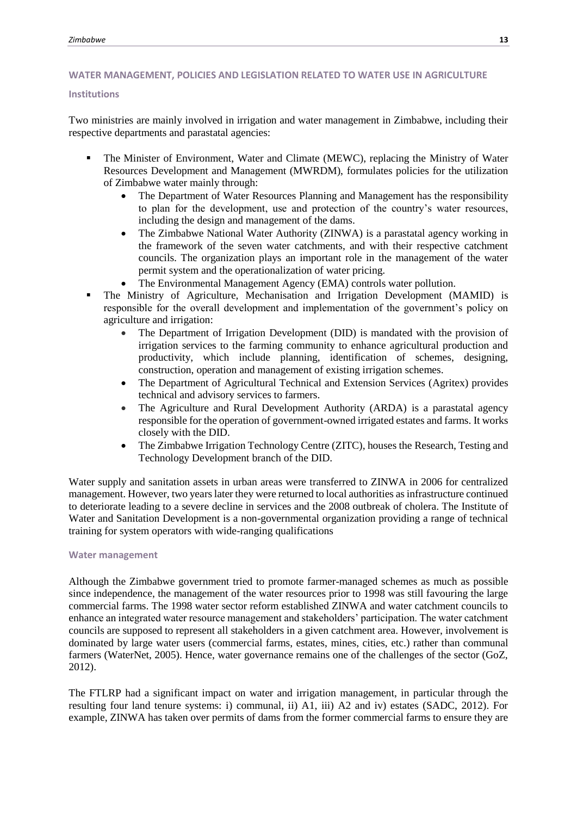# **WATER MANAGEMENT, POLICIES AND LEGISLATION RELATED TO WATER USE IN AGRICULTURE**

# **Institutions**

Two ministries are mainly involved in irrigation and water management in Zimbabwe, including their respective departments and parastatal agencies:

- The Minister of Environment, Water and Climate (MEWC), replacing the Ministry of Water Resources Development and Management (MWRDM), formulates policies for the utilization of Zimbabwe water mainly through:
	- The Department of Water Resources Planning and Management has the responsibility to plan for the development, use and protection of the country's water resources, including the design and management of the dams.
	- The Zimbabwe National Water Authority (ZINWA) is a parastatal agency working in the framework of the seven water catchments, and with their respective catchment councils. The organization plays an important role in the management of the water permit system and the operationalization of water pricing.
	- The Environmental Management Agency (EMA) controls water pollution.
- The Ministry of Agriculture, Mechanisation and Irrigation Development (MAMID) is responsible for the overall development and implementation of the government's policy on agriculture and irrigation:
	- The Department of Irrigation Development (DID) is mandated with the provision of irrigation services to the farming community to enhance agricultural production and productivity, which include planning, identification of schemes, designing, construction, operation and management of existing irrigation schemes.
	- The Department of Agricultural Technical and Extension Services (Agritex) provides technical and advisory services to farmers.
	- The Agriculture and Rural Development Authority (ARDA) is a parastatal agency responsible for the operation of government-owned irrigated estates and farms. It works closely with the DID.
	- The Zimbabwe Irrigation Technology Centre (ZITC), houses the Research, Testing and Technology Development branch of the DID.

Water supply and sanitation assets in urban areas were transferred to ZINWA in 2006 for centralized management. However, two years later they were returned to local authorities as infrastructure continued to deteriorate leading to a severe decline in services and the 2008 outbreak of cholera. The Institute of Water and Sanitation Development is a non-governmental organization providing a range of technical training for system operators with wide-ranging qualifications

# **Water management**

Although the Zimbabwe government tried to promote farmer-managed schemes as much as possible since independence, the management of the water resources prior to 1998 was still favouring the large commercial farms. The 1998 water sector reform established ZINWA and water catchment councils to enhance an integrated water resource management and stakeholders' participation. The water catchment councils are supposed to represent all stakeholders in a given catchment area. However, involvement is dominated by large water users (commercial farms, estates, mines, cities, etc.) rather than communal farmers (WaterNet, 2005). Hence, water governance remains one of the challenges of the sector (GoZ, 2012).

The FTLRP had a significant impact on water and irrigation management, in particular through the resulting four land tenure systems: i) communal, ii) A1, iii) A2 and iv) estates (SADC, 2012). For example, ZINWA has taken over permits of dams from the former commercial farms to ensure they are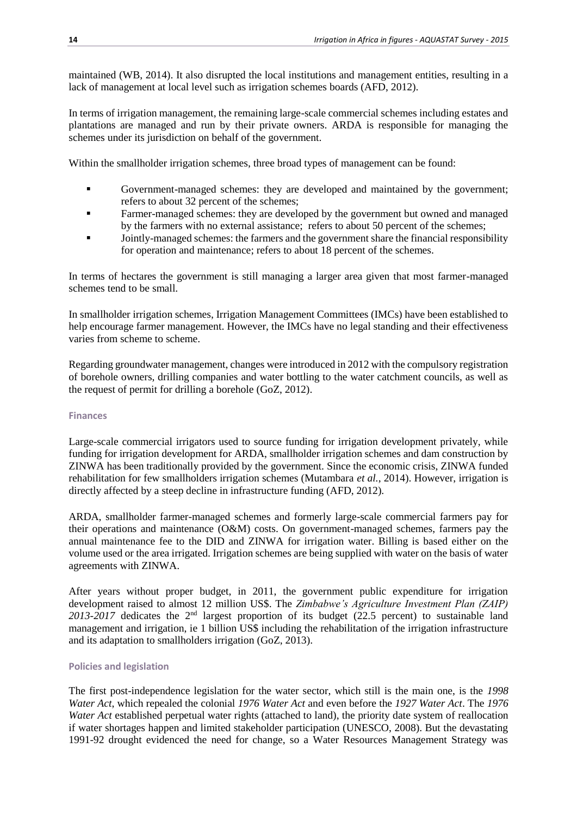maintained (WB, 2014). It also disrupted the local institutions and management entities, resulting in a lack of management at local level such as irrigation schemes boards (AFD, 2012).

In terms of irrigation management, the remaining large-scale commercial schemes including estates and plantations are managed and run by their private owners. ARDA is responsible for managing the schemes under its jurisdiction on behalf of the government.

Within the smallholder irrigation schemes, three broad types of management can be found:

- Government-managed schemes: they are developed and maintained by the government; refers to about 32 percent of the schemes;
- Farmer-managed schemes: they are developed by the government but owned and managed by the farmers with no external assistance; refers to about 50 percent of the schemes;
- Jointly-managed schemes: the farmers and the government share the financial responsibility for operation and maintenance; refers to about 18 percent of the schemes.

In terms of hectares the government is still managing a larger area given that most farmer-managed schemes tend to be small.

In smallholder irrigation schemes, Irrigation Management Committees (IMCs) have been established to help encourage farmer management. However, the IMCs have no legal standing and their effectiveness varies from scheme to scheme.

Regarding groundwater management, changes were introduced in 2012 with the compulsory registration of borehole owners, drilling companies and water bottling to the water catchment councils, as well as the request of permit for drilling a borehole (GoZ, 2012).

# **Finances**

Large-scale commercial irrigators used to source funding for irrigation development privately, while funding for irrigation development for ARDA, smallholder irrigation schemes and dam construction by ZINWA has been traditionally provided by the government. Since the economic crisis, ZINWA funded rehabilitation for few smallholders irrigation schemes (Mutambara *et al.*, 2014). However, irrigation is directly affected by a steep decline in infrastructure funding (AFD, 2012).

ARDA, smallholder farmer-managed schemes and formerly large-scale commercial farmers pay for their operations and maintenance (O&M) costs. On government-managed schemes, farmers pay the annual maintenance fee to the DID and ZINWA for irrigation water. Billing is based either on the volume used or the area irrigated. Irrigation schemes are being supplied with water on the basis of water agreements with ZINWA.

After years without proper budget, in 2011, the government public expenditure for irrigation development raised to almost 12 million US\$. The *Zimbabwe's Agriculture Investment Plan (ZAIP)*  2013-2017 dedicates the  $2<sup>nd</sup>$  largest proportion of its budget (22.5 percent) to sustainable land management and irrigation, ie 1 billion US\$ including the rehabilitation of the irrigation infrastructure and its adaptation to smallholders irrigation (GoZ, 2013).

# **Policies and legislation**

The first post-independence legislation for the water sector, which still is the main one, is the *1998 Water Act*, which repealed the colonial *1976 Water Act* and even before the *1927 Water Act*. The *1976 Water Act* established perpetual water rights (attached to land), the priority date system of reallocation if water shortages happen and limited stakeholder participation (UNESCO, 2008). But the devastating 1991-92 drought evidenced the need for change, so a Water Resources Management Strategy was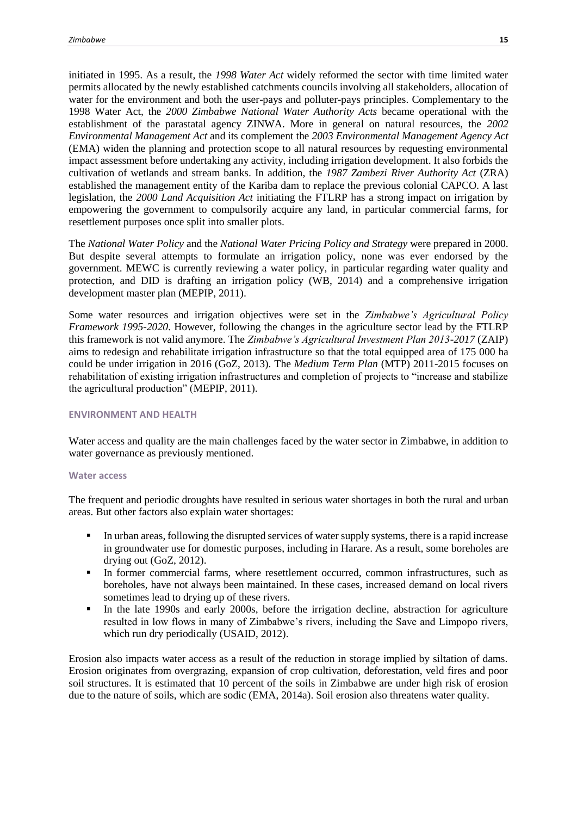initiated in 1995. As a result, the *1998 Water Act* widely reformed the sector with time limited water permits allocated by the newly established catchments councils involving all stakeholders, allocation of water for the environment and both the user-pays and polluter-pays principles. Complementary to the 1998 Water Act, the *2000 Zimbabwe National Water Authority Acts* became operational with the establishment of the parastatal agency ZINWA. More in general on natural resources, the *2002 Environmental Management Act* and its complement the *2003 Environmental Management Agency Act* (EMA) widen the planning and protection scope to all natural resources by requesting environmental impact assessment before undertaking any activity, including irrigation development. It also forbids the cultivation of wetlands and stream banks. In addition, the *1987 Zambezi River Authority Act* (ZRA) established the management entity of the Kariba dam to replace the previous colonial CAPCO. A last legislation, the *2000 Land Acquisition Act* initiating the FTLRP has a strong impact on irrigation by empowering the government to compulsorily acquire any land, in particular commercial farms, for resettlement purposes once split into smaller plots.

The *National Water Policy* and the *National Water Pricing Policy and Strategy* were prepared in 2000. But despite several attempts to formulate an irrigation policy, none was ever endorsed by the government. MEWC is currently reviewing a water policy, in particular regarding water quality and protection, and DID is drafting an irrigation policy (WB, 2014) and a comprehensive irrigation development master plan (MEPIP, 2011).

Some water resources and irrigation objectives were set in the *Zimbabwe's Agricultural Policy Framework 1995-2020*. However, following the changes in the agriculture sector lead by the FTLRP this framework is not valid anymore. The *Zimbabwe's Agricultural Investment Plan 2013-2017* (ZAIP) aims to redesign and rehabilitate irrigation infrastructure so that the total equipped area of 175 000 ha could be under irrigation in 2016 (GoZ, 2013). The *Medium Term Plan* (MTP) 2011-2015 focuses on rehabilitation of existing irrigation infrastructures and completion of projects to "increase and stabilize the agricultural production" (MEPIP, 2011).

#### **ENVIRONMENT AND HEALTH**

Water access and quality are the main challenges faced by the water sector in Zimbabwe, in addition to water governance as previously mentioned.

#### **Water access**

The frequent and periodic droughts have resulted in serious water shortages in both the rural and urban areas. But other factors also explain water shortages:

- In urban areas, following the disrupted services of water supply systems, there is a rapid increase in groundwater use for domestic purposes, including in Harare. As a result, some boreholes are drying out (GoZ, 2012).
- In former commercial farms, where resettlement occurred, common infrastructures, such as boreholes, have not always been maintained. In these cases, increased demand on local rivers sometimes lead to drying up of these rivers.
- In the late 1990s and early 2000s, before the irrigation decline, abstraction for agriculture resulted in low flows in many of Zimbabwe's rivers, including the Save and Limpopo rivers, which run dry periodically (USAID, 2012).

Erosion also impacts water access as a result of the reduction in storage implied by siltation of dams. Erosion originates from overgrazing, expansion of crop cultivation, deforestation, veld fires and poor soil structures. It is estimated that 10 percent of the soils in Zimbabwe are under high risk of erosion due to the nature of soils, which are sodic (EMA, 2014a). Soil erosion also threatens water quality.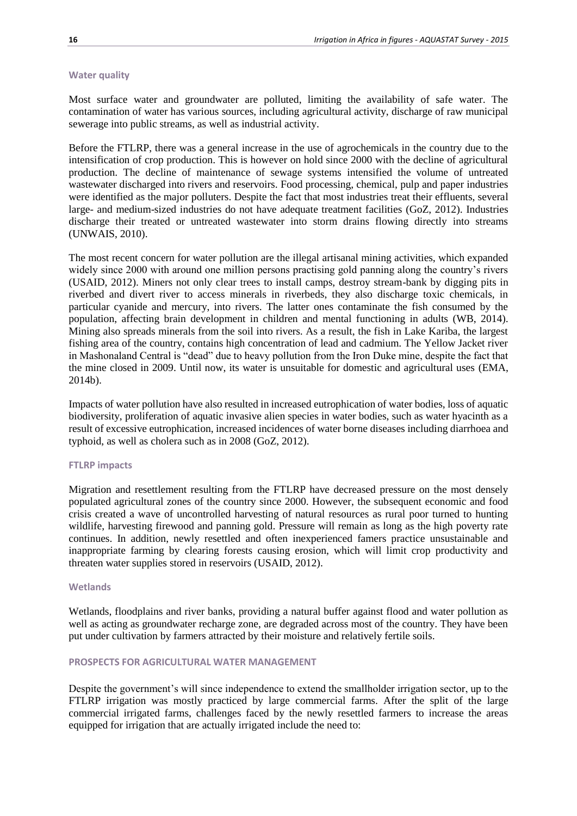# **Water quality**

Most surface water and groundwater are polluted, limiting the availability of safe water. The contamination of water has various sources, including agricultural activity, discharge of raw municipal sewerage into public streams, as well as industrial activity.

Before the FTLRP, there was a general increase in the use of agrochemicals in the country due to the intensification of crop production. This is however on hold since 2000 with the decline of agricultural production. The decline of maintenance of sewage systems intensified the volume of untreated wastewater discharged into rivers and reservoirs. Food processing, chemical, pulp and paper industries were identified as the major polluters. Despite the fact that most industries treat their effluents, several large- and medium-sized industries do not have adequate treatment facilities (GoZ, 2012). Industries discharge their treated or untreated wastewater into storm drains flowing directly into streams (UNWAIS, 2010).

The most recent concern for water pollution are the illegal artisanal mining activities, which expanded widely since 2000 with around one million persons practising gold panning along the country's rivers (USAID, 2012). Miners not only clear trees to install camps, destroy stream-bank by digging pits in riverbed and divert river to access minerals in riverbeds, they also discharge toxic chemicals, in particular cyanide and mercury, into rivers. The latter ones contaminate the fish consumed by the population, affecting brain development in children and mental functioning in adults (WB, 2014). Mining also spreads minerals from the soil into rivers. As a result, the fish in Lake Kariba, the largest fishing area of the country, contains high concentration of lead and cadmium. The Yellow Jacket river in Mashonaland Central is "dead" due to heavy pollution from the Iron Duke mine, despite the fact that the mine closed in 2009. Until now, its water is unsuitable for domestic and agricultural uses (EMA, 2014b).

Impacts of water pollution have also resulted in increased eutrophication of water bodies, loss of aquatic biodiversity, proliferation of aquatic invasive alien species in water bodies, such as water hyacinth as a result of excessive eutrophication, increased incidences of water borne diseases including diarrhoea and typhoid, as well as cholera such as in 2008 (GoZ, 2012).

# **FTLRP impacts**

Migration and resettlement resulting from the FTLRP have decreased pressure on the most densely populated agricultural zones of the country since 2000. However, the subsequent economic and food crisis created a wave of uncontrolled harvesting of natural resources as rural poor turned to hunting wildlife, harvesting firewood and panning gold. Pressure will remain as long as the high poverty rate continues. In addition, newly resettled and often inexperienced famers practice unsustainable and inappropriate farming by clearing forests causing erosion, which will limit crop productivity and threaten water supplies stored in reservoirs (USAID, 2012).

#### **Wetlands**

Wetlands, floodplains and river banks, providing a natural buffer against flood and water pollution as well as acting as groundwater recharge zone, are degraded across most of the country. They have been put under cultivation by farmers attracted by their moisture and relatively fertile soils.

# **PROSPECTS FOR AGRICULTURAL WATER MANAGEMENT**

Despite the government's will since independence to extend the smallholder irrigation sector, up to the FTLRP irrigation was mostly practiced by large commercial farms. After the split of the large commercial irrigated farms, challenges faced by the newly resettled farmers to increase the areas equipped for irrigation that are actually irrigated include the need to: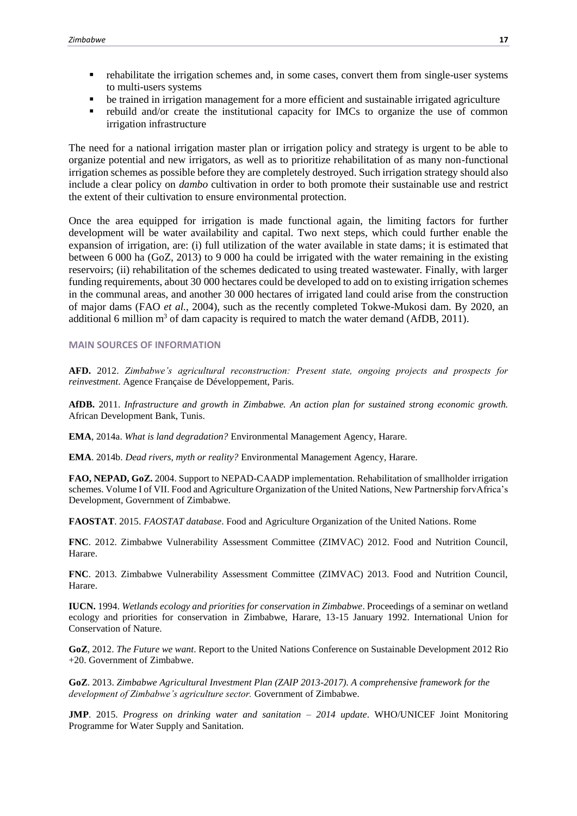- rehabilitate the irrigation schemes and, in some cases, convert them from single-user systems to multi-users systems
- be trained in irrigation management for a more efficient and sustainable irrigated agriculture
- rebuild and/or create the institutional capacity for IMCs to organize the use of common irrigation infrastructure

The need for a national irrigation master plan or irrigation policy and strategy is urgent to be able to organize potential and new irrigators, as well as to prioritize rehabilitation of as many non-functional irrigation schemes as possible before they are completely destroyed. Such irrigation strategy should also include a clear policy on *dambo* cultivation in order to both promote their sustainable use and restrict the extent of their cultivation to ensure environmental protection.

Once the area equipped for irrigation is made functional again, the limiting factors for further development will be water availability and capital. Two next steps, which could further enable the expansion of irrigation, are: (i) full utilization of the water available in state dams; it is estimated that between 6 000 ha (GoZ, 2013) to 9 000 ha could be irrigated with the water remaining in the existing reservoirs; (ii) rehabilitation of the schemes dedicated to using treated wastewater. Finally, with larger funding requirements, about 30 000 hectares could be developed to add on to existing irrigation schemes in the communal areas, and another 30 000 hectares of irrigated land could arise from the construction of major dams (FAO *et al.*, 2004), such as the recently completed Tokwe-Mukosi dam. By 2020, an additional 6 million  $m<sup>3</sup>$  of dam capacity is required to match the water demand (AfDB, 2011).

# **MAIN SOURCES OF INFORMATION**

**AFD.** 2012. *Zimbabwe's agricultural reconstruction: Present state, ongoing projects and prospects for reinvestment*. Agence Française de Développement, Paris.

**AfDB.** 2011. *Infrastructure and growth in Zimbabwe. An action plan for sustained strong economic growth.*  African Development Bank, Tunis.

**EMA**, 2014a. *What is land degradation?* Environmental Management Agency, Harare.

**EMA**. 2014b. *Dead rivers, myth or reality?* Environmental Management Agency, Harare.

**FAO, NEPAD, GoZ.** 2004. Support to NEPAD-CAADP implementation. Rehabilitation of smallholder irrigation schemes. Volume I of VII. Food and Agriculture Organization of the United Nations, New Partnership forvAfrica's Development, Government of Zimbabwe.

**FAOSTAT**. 2015. *FAOSTAT database*. Food and Agriculture Organization of the United Nations. Rome

**FNC**. 2012. Zimbabwe Vulnerability Assessment Committee (ZIMVAC) 2012. Food and Nutrition Council, Harare.

**FNC**. 2013. Zimbabwe Vulnerability Assessment Committee (ZIMVAC) 2013. Food and Nutrition Council, Harare.

**IUCN.** 1994. *Wetlands ecology and priorities for conservation in Zimbabwe*. Proceedings of a seminar on wetland ecology and priorities for conservation in Zimbabwe, Harare, 13-15 January 1992. International Union for Conservation of Nature.

**GoZ**, 2012. *The Future we want*. Report to the United Nations Conference on Sustainable Development 2012 Rio +20. Government of Zimbabwe.

**GoZ**. 2013. *Zimbabwe Agricultural Investment Plan (ZAIP 2013-2017). A comprehensive framework for the development of Zimbabwe's agriculture sector.* Government of Zimbabwe.

**JMP**. 2015. *Progress on drinking water and sanitation – 2014 update*. WHO/UNICEF Joint Monitoring Programme for Water Supply and Sanitation.